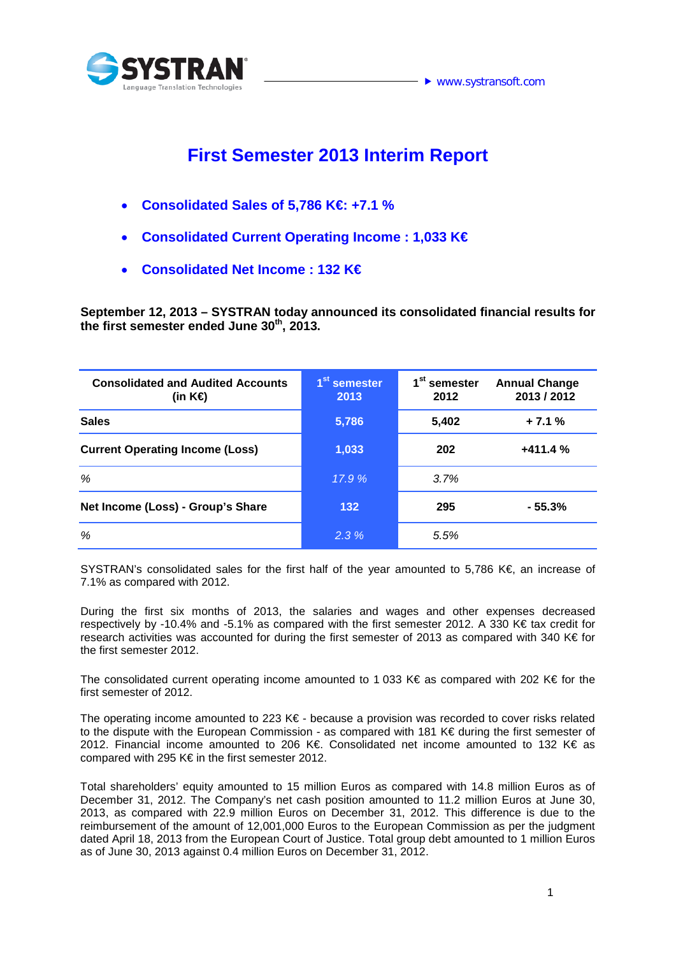

## **First Semester 2013 Interim Report**

- **Consolidated Sales of 5,786 K€: +7.1 %**
- **Consolidated Current Operating Income : 1,033 K€**
- **Consolidated Net Income : 132 K€**

**September 12, 2013 – SYSTRAN today announced its consolidated financial results for the first semester ended June 30th, 2013.**

| <b>Consolidated and Audited Accounts</b><br>(in K⊖ | 1 <sup>st</sup> semester<br>2013 | 1 <sup>st</sup> semester<br>2012 | <b>Annual Change</b><br>2013 / 2012 |
|----------------------------------------------------|----------------------------------|----------------------------------|-------------------------------------|
| <b>Sales</b>                                       | 5,786                            | 5,402                            | $+7.1%$                             |
| <b>Current Operating Income (Loss)</b>             | 1,033                            | 202                              | $+411.4%$                           |
| %                                                  | 17.9%                            | 3.7%                             |                                     |
| Net Income (Loss) - Group's Share                  | 132                              | 295                              | $-55.3%$                            |
| %                                                  | 2.3%                             | 5.5%                             |                                     |

SYSTRAN's consolidated sales for the first half of the year amounted to 5,786 K€, an increase of 7.1% as compared with 2012.

During the first six months of 2013, the salaries and wages and other expenses decreased respectively by -10.4% and -5.1% as compared with the first semester 2012. A 330 K€ tax credit for research activities was accounted for during the first semester of 2013 as compared with 340 K€ for the first semester 2012.

The consolidated current operating income amounted to 1 033 K€ as compared with 202 K€ for the first semester of 2012.

The operating income amounted to 223 K€ - because a provision was recorded to cover risks related to the dispute with the European Commission - as compared with 181 K€ during the first semester of 2012. Financial income amounted to 206 K€. Consolidated net income amounted to 132 K€ as compared with 295 K€ in the first semester 2012.

Total shareholders' equity amounted to 15 million Euros as compared with 14.8 million Euros as of December 31, 2012. The Company's net cash position amounted to 11.2 million Euros at June 30, 2013, as compared with 22.9 million Euros on December 31, 2012. This difference is due to the reimbursement of the amount of 12,001,000 Euros to the European Commission as per the judgment dated April 18, 2013 from the European Court of Justice. Total group debt amounted to 1 million Euros as of June 30, 2013 against 0.4 million Euros on December 31, 2012.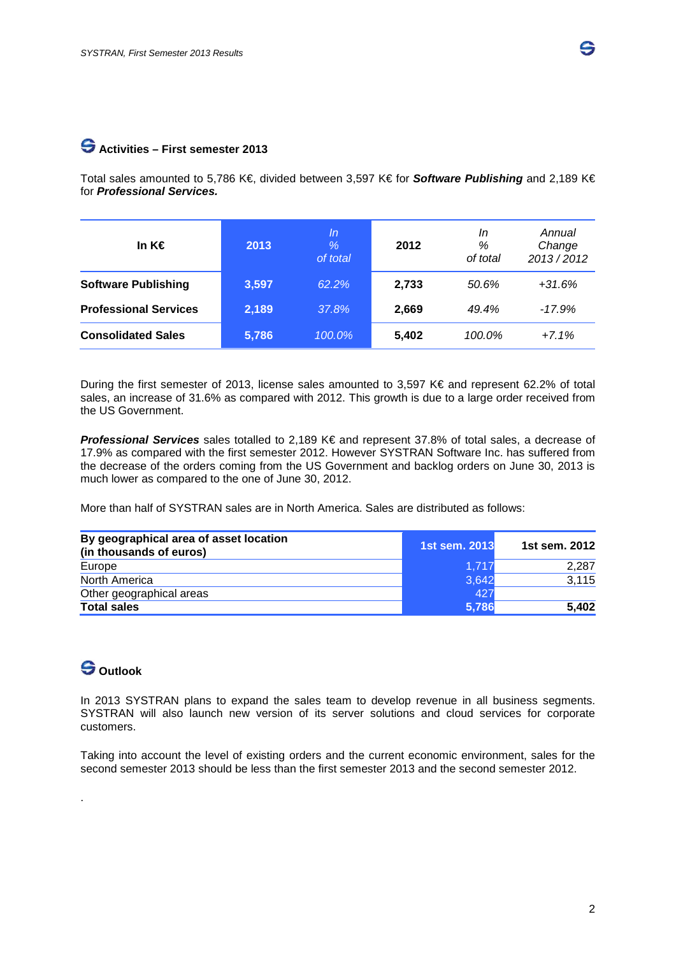#### **Activities – First semester 2013**

Total sales amounted to 5,786 K€, divided between 3,597 K€ for *Software Publishing* and 2,189 K€ for *Professional Services.*

| In K€                        | 2013  | In<br>$\%$<br>of total | 2012  | In<br>%<br>of total | Annual<br>Change<br>2013/2012 |
|------------------------------|-------|------------------------|-------|---------------------|-------------------------------|
| <b>Software Publishing</b>   | 3,597 | 62.2%                  | 2,733 | 50.6%               | $+31.6%$                      |
| <b>Professional Services</b> | 2,189 | 37.8%                  | 2,669 | 49.4%               | $-17.9%$                      |
| <b>Consolidated Sales</b>    | 5,786 | $100.0\%$              | 5,402 | 100.0%              | $+7.1%$                       |

During the first semester of 2013, license sales amounted to 3,597 K€ and represent 62.2% of total sales, an increase of 31.6% as compared with 2012. This growth is due to a large order received from the US Government.

*Professional Services* sales totalled to 2,189 K€ and represent 37.8% of total sales, a decrease of 17.9% as compared with the first semester 2012. However SYSTRAN Software Inc. has suffered from the decrease of the orders coming from the US Government and backlog orders on June 30, 2013 is much lower as compared to the one of June 30, 2012.

More than half of SYSTRAN sales are in North America. Sales are distributed as follows:

| By geographical area of asset location<br>(in thousands of euros) | 1st sem. 2013 | 1st sem. 2012 |
|-------------------------------------------------------------------|---------------|---------------|
| Europe                                                            | 1.717         | 2,287         |
| North America                                                     | 3,642         | 3,115         |
| Other geographical areas                                          | 427           |               |
| <b>Total sales</b>                                                | 5,786         | 5,402         |

### **Outlook**

.

In 2013 SYSTRAN plans to expand the sales team to develop revenue in all business segments. SYSTRAN will also launch new version of its server solutions and cloud services for corporate customers.

Taking into account the level of existing orders and the current economic environment, sales for the second semester 2013 should be less than the first semester 2013 and the second semester 2012.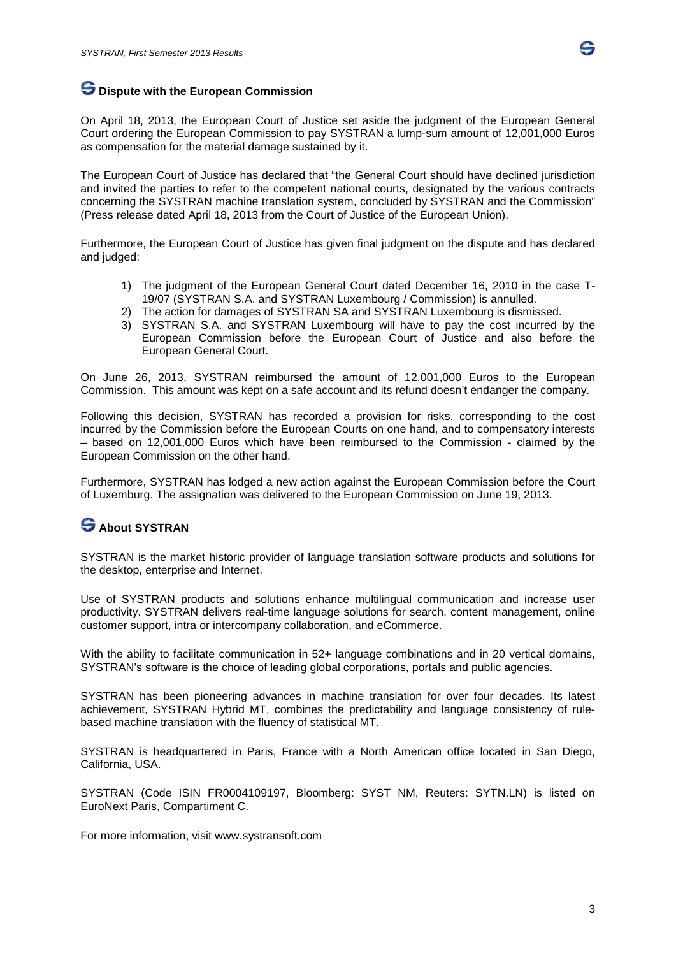

#### **Dispute with the European Commission**

On April 18, 2013, the European Court of Justice set aside the judgment of the European General Court ordering the European Commission to pay SYSTRAN a lump-sum amount of 12,001,000 Euros as compensation for the material damage sustained by it.

The European Court of Justice has declared that "the General Court should have declined jurisdiction and invited the parties to refer to the competent national courts, designated by the various contracts concerning the SYSTRAN machine translation system, concluded by SYSTRAN and the Commission" (Press release dated April 18, 2013 from the Court of Justice of the European Union).

Furthermore, the European Court of Justice has given final judgment on the dispute and has declared and judged:

- 1) The judgment of the European General Court dated December 16, 2010 in the case T-19/07 (SYSTRAN S.A. and SYSTRAN Luxembourg / Commission) is annulled.
- 2) The action for damages of SYSTRAN SA and SYSTRAN Luxembourg is dismissed.
- 3) SYSTRAN S.A. and SYSTRAN Luxembourg will have to pay the cost incurred by the European Commission before the European Court of Justice and also before the European General Court.

On June 26, 2013, SYSTRAN reimbursed the amount of 12,001,000 Euros to the European Commission. This amount was kept on a safe account and its refund doesn't endanger the company.

Following this decision, SYSTRAN has recorded a provision for risks, corresponding to the cost incurred by the Commission before the European Courts on one hand, and to compensatory interests – based on 12,001,000 Euros which have been reimbursed to the Commission - claimed by the European Commission on the other hand.

Furthermore, SYSTRAN has lodged a new action against the European Commission before the Court of Luxemburg. The assignation was delivered to the European Commission on June 19, 2013.

## **About SYSTRAN**

SYSTRAN is the market historic provider of language translation software products and solutions for the desktop, enterprise and Internet.

Use of SYSTRAN products and solutions enhance multilingual communication and increase user productivity. SYSTRAN delivers real-time language solutions for search, content management, online customer support, intra or intercompany collaboration, and eCommerce.

With the ability to facilitate communication in 52+ language combinations and in 20 vertical domains, SYSTRAN's software is the choice of leading global corporations, portals and public agencies.

SYSTRAN has been pioneering advances in machine translation for over four decades. Its latest achievement, SYSTRAN Hybrid MT, combines the predictability and language consistency of rulebased machine translation with the fluency of statistical MT.

SYSTRAN is headquartered in Paris, France with a North American office located in San Diego, California, USA.

SYSTRAN (Code ISIN FR0004109197, Bloomberg: SYST NM, Reuters: SYTN.LN) is listed on EuroNext Paris, Compartiment C.

For more information, visit [www.systransoft.com](http://www.systransoft.com/)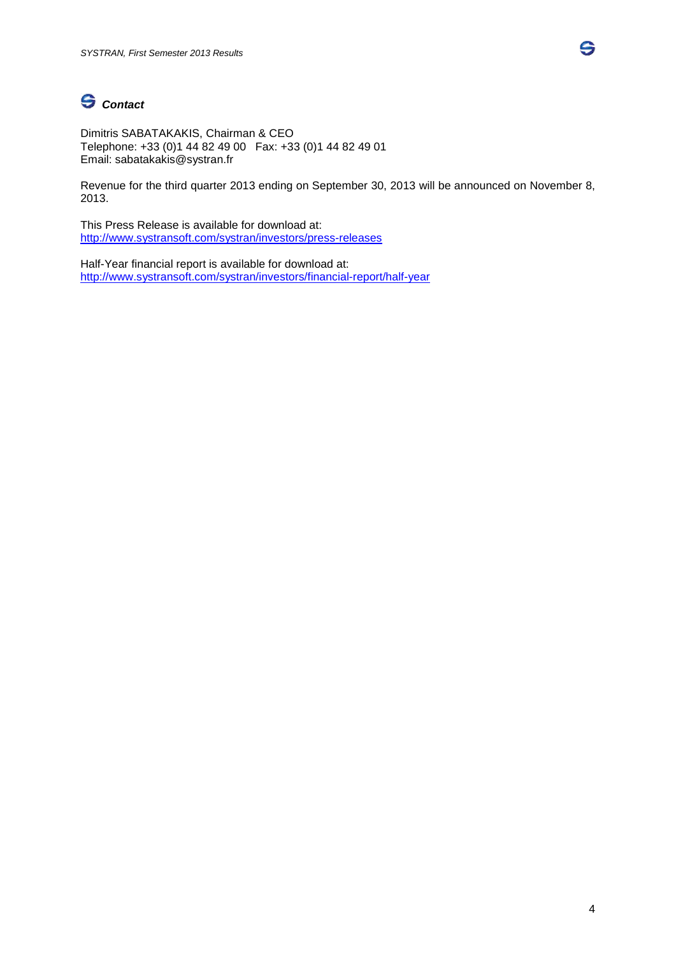# *Contact*

Dimitris SABATAKAKIS, Chairman & CEO Telephone: +33 (0)1 44 82 49 00 Fax: +33 (0)1 44 82 49 01 Email: sabatakakis@systran.fr

Revenue for the third quarter 2013 ending on September 30, 2013 will be announced on November 8, 2013.

This Press Release is available for download at: <http://www.systransoft.com/systran/investors/press-releases>

Half-Year financial report is available for download at: <http://www.systransoft.com/systran/investors/financial-report/half-year> S